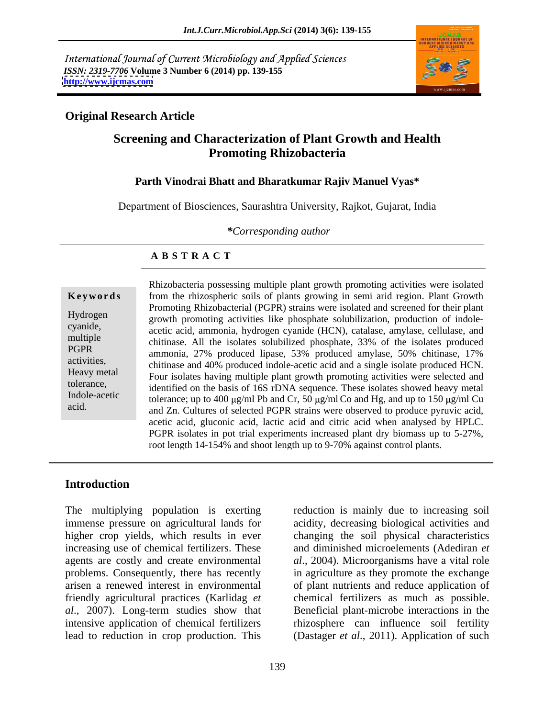International Journal of Current Microbiology and Applied Sciences *ISSN: 2319-7706* **Volume 3 Number 6 (2014) pp. 139-155 <http://www.ijcmas.com>**



### **Original Research Article**

# **Screening and Characterization of Plant Growth and Health Promoting Rhizobacteria**

### **Parth Vinodrai Bhatt and Bharatkumar Rajiv Manuel Vyas\***

Department of Biosciences, Saurashtra University, Rajkot, Gujarat, India

*\*Corresponding author*

### **A B S T R A C T**

**Keywords** from the rhizospheric soils of plants growing in semi arid region. Plant Growth Hydrogen growth promoting activities like phosphate solubilization, production of indolecyanide, acetic acid, ammonia, hydrogen cyanide (HCN), catalase, amylase, cellulase, and multiple<br>
chitinase. All the isolates solubilized phosphate, 33% of the isolates produced PGPR ammonia, 27% produced lipase, 53% produced amylase, 50% chitinase, 17% activities,<br>
chitinase and 40% produced indole-acetic acid and a single isolate produced HCN. Heavy metal<br>
Four isolates having multiple plant growth promoting activities were selected and tolerance, identified on the basis of 16S rDNA sequence. These isolates showed heavy metal Indole-acetic tolerance; up to 400  $\mu$ g/ml Pb and Cr, 50  $\mu$ g/ml Co and Hg, and up to 150  $\mu$ g/ml Cu acid.<br>
and Zn. Cultures of selected PGPR strains were observed to produce pyruvic acid, Rhizobacteria possessing multiple plant growth promoting activities were isolated Promoting Rhizobacterial (PGPR) strains were isolated and screened for their plant acetic acid, gluconic acid, lactic acid and citric acid when analysed by HPLC. PGPR isolates in pot trial experiments increased plant dry biomass up to 5-27%, root length 14-154% and shoot length up to 9-70% against control plants.

### **Introduction**

The multiplying population is exerting immense pressure on agricultural lands for acidity, decreasing biological activities and higher crop yields, which results in ever changing the soil physical characteristics increasing use of chemical fertilizers. These agents are costly and create environmental *al*., 2004). Microorganisms have a vital role problems. Consequently, there has recently in agriculture as they promote the exchange arisen a renewed interest in environmental of plant nutrients and reduce application of friendly agricultural practices (Karlidag *et al*., 2007). Long-term studies show that intensive application of chemical fertilizers rhizosphere can influence soil fertility

lead to reduction in crop production. This (Dastager *et al*., 2011). Application of such reduction is mainly due to increasing soil and diminished microelements (Adediran *et*  chemical fertilizers as much as possible. Beneficial plant-microbe interactions in the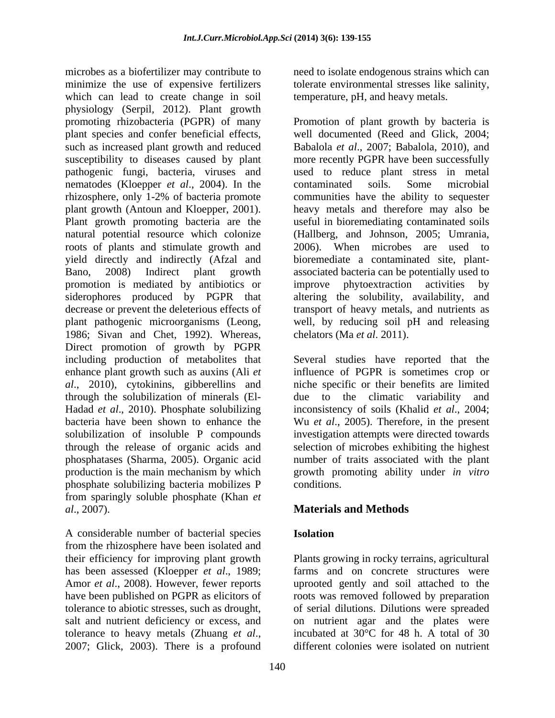microbes as a biofertilizer may contribute to need to isolate endogenous strains which can minimize the use of expensive fertilizers which can lead to create change in soil physiology (Serpil, 2012). Plant growth plant species and confer beneficial effects, pathogenic fungi, bacteria, viruses and nematodes (Kloepper *et al*., 2004). In the roots of plants and stimulate growth and 2006). When microbes are used to promotion is mediated by antibiotics or improve phytoextraction activities by siderophores produced by PGPR that 1986; Sivan and Chet, 1992). Whereas, Direct promotion of growth by PGPR including production of metabolites that Several studies have reported that the enhance plant growth such as auxins (Ali *et*  influence of PGPR is sometimes crop or *al*., 2010), cytokinins, gibberellins and niche specific or their benefits are limited through the solubilization of minerals (El- due to the climatic variability and Hadad *et al*., 2010). Phosphate solubilizing inconsistency of soils (Khalid *et al*., 2004; bacteria have been shown to enhance the Wu *et al*., 2005). Therefore, in the present solubilization of insoluble P compounds investigation attempts were directed towards through the release of organic acids and phosphatases (Sharma, 2005). Organic acid phosphatases (Sharma, 2005). Organic acid number of traits associated with the plant production is the main mechanism by which growth promoting ability under *in vitro* phosphate solubilizing bacteria mobilizes P from sparingly soluble phosphate (Khan *et al*., 2007). **Materials and Methods**

A considerable number of bacterial species from the rhizosphere have been isolated and has been assessed (Kloepper *et al*., 1989; tolerance to heavy metals (Zhuang *et al.*, incubated at 30°C for 48 h. A total of 30<br>2007; Glick, 2003). There is a profound different colonies were isolated on nutrient

tolerate environmental stresses like salinity, temperature, pH, and heavy metals.

promoting rhizobacteria (PGPR) of many Promotion of plant growth by bacteria is such as increased plant growth and reduced Babalola *et al*., 2007; Babalola, 2010), and susceptibility to diseases caused by plant more recently PGPR have been successfully rhizosphere, only 1-2% of bacteria promote communities have the ability to sequester plant growth (Antoun and Kloepper, 2001). heavy metals and thereforemay also be Plant growth promoting bacteria are the useful in bioremediating contaminated soils natural potential resource which colonize (Hallberg, and Johnson, 2005; Umrania, yield directly and indirectly (Afzal and bioremediate a contaminated site, plant- Bano, 2008) Indirect plant growth associated bacteria can be potentially used to decrease or prevent the deleterious effects of transport of heavy metals, and nutrients as plant pathogenic microorganisms (Leong, well, by reducing soil pH and releasing well documented (Reed and Glick, 2004; used to reduce plant stress in metal contaminated soils. Some microbial  $2006$ . When microbes are used improve phytoextraction activities by altering the solubility, availability, and chelators (Ma *et al*. 2011).

> selection of microbes exhibiting the highest conditions.

# **Isolation**

their efficiency for improving plant growth Plants growing in rocky terrains, agricultural Amor *et al*., 2008). However, fewer reports uprooted gently and soil attached to the have been published on PGPR as elicitors of roots was removed followed by preparation tolerance to abiotic stresses, such as drought, of serial dilutions. Dilutions were spreaded salt and nutrient deficiency or excess, and on nutrient agar and the plates were farms and on concrete structures were incubated at 30°C for 48 h. A total of 30 different colonies were isolated on nutrient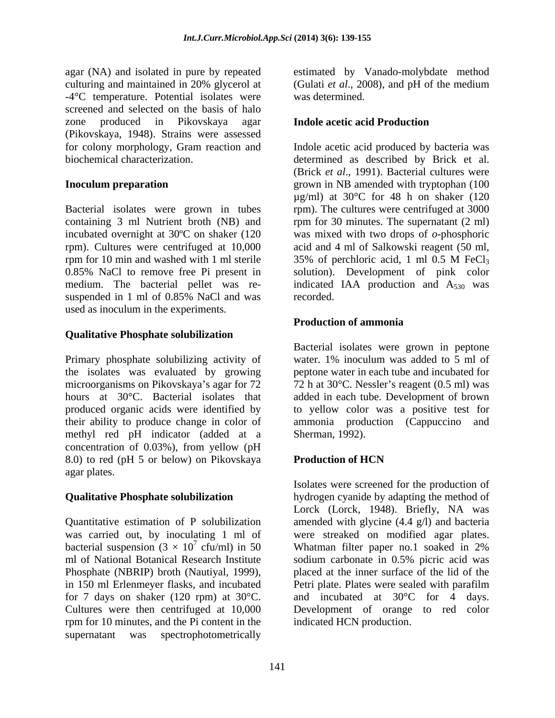agar (NA) and isolated in pure by repeated estimated by Vanado-molybdate method culturing and maintained in 20% glycerol at (Gulati *et al*., 2008), and pH of the medium -4°C temperature. Potential isolates were screened and selected on the basis of halo zone produced in Pikovskaya agar (Pikovskaya, 1948). Strains were assessed

Bacterial isolates were grown in tubes rpm). The cultures were centrifuged at 3000 containing 3 ml Nutrient broth (NB) and rpm for 30 minutes. The supernatant (2 ml) incubated overnight at 30ºC on shaker (120 was mixed with two drops of *o*-phosphoric rpm). Cultures were centrifuged at 10,000 acid and 4 ml of Salkowski reagent (50 ml, rpm for 10 min and washed with 1 ml sterile 35% of perchloric acid, 1 ml 0.5 M FeCl<sub>3</sub> 0.85% NaCl to remove free Pi present in solution). Development of pink color medium. The bacterial pellet was re- indicated IAA production and  $A_{530}$  was suspended in 1 ml of 0.85% NaCl and was recorded. used as inoculum in the experiments.

# **Qualitative Phosphate solubilization**

the isolates was evaluated by growing their ability to produce change in color of ammonia production (Cappuccino and methyl red pH indicator (added at a concentration of 0.03%), from yellow (pH 8.0) to red (pH 5 or below) on Pikovskaya Production of HCN agar plates.

ml of National Botanical Research Institute sodium carbonate in 0.5% picric acid was in 150 ml Erlenmeyer flasks, and incubated for 7 days on shaker (120 rpm) at 30°C. rpm for 10 minutes, and the Pi content in the supernatant was spectrophotometrically

was determined.

# **Indole acetic acid Production**

for colony morphology, Gram reaction and Indole acetic acid produced by bacteria was biochemical characterization. determined as described by Brick et al. **Inoculum preparation** example a series a grown in NB amended with tryptophan (100 (Brick *et al*., 1991). Bacterial cultures were  $\mu$ g/ml) at 30°C for 48 h on shaker (120 35% of perchloric acid, 1 ml  $0.5$  M FeCl<sub>3</sub> recorded.

# **Production of ammonia**

Primary phosphate solubilizing activity of water. 1% inoculum was added to 5 ml of microorganisms on Pikovskaya's agar for 72 72 h at 30 $\degree$ C. Nessler's reagent (0.5 ml) was hours at 30°C. Bacterial isolates that added in each tube. Development of brown produced organic acids were identified by to yellow color was a positive test for Bacterial isolates were grown in peptone peptone water in each tube and incubated for ammonia production (Cappuccino Sherman, 1992).

# **Production of HCN**

**Qualitative Phosphate solubilization** hydrogen cyanide by adapting the method of Quantitative estimation of P solubilization amended with glycine (4.4 g/l) and bacteria was carried out, by inoculating 1 ml of were streaked on modified agar plates. bacterial suspension  $(3 \times 10^7 \text{ cfu/ml})$  in 50 Whatman filter paper no.1 soaked in 2% Phosphate (NBRIP) broth (Nautiyal, 1999), placed at the inner surface of the lid of the Cultures were then centrifuged at 10,000 Development of orange to red color Isolates were screened for the production of Lorck (Lorck, 1948). Briefly, NA was Whatman filter paper no.1 soaked in 2% sodium carbonate in 0.5% picric acid was Petri plate. Plates were sealed with parafilm and incubated at  $30^{\circ}$ C for 4 days. indicated HCN production.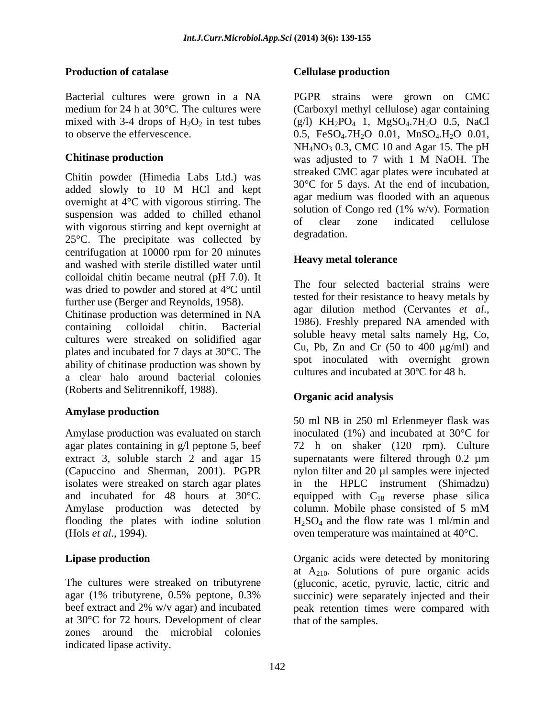### **Production of catalase Server Cellulase production**

Chitin powder (Himedia Labs Ltd.) was added slowly to 10 M HCl and kept overnight at 4°C with vigorous stirring. The suspension was added to chilled ethanol solution of congo red (1% W/V). Formation suspension was added to chilled ethanol of clear zone indicated cellulose with vigorous stirring and kept overnight at  $25\%$  The precipitate wes collected by degradation. 25°C. The precipitate was collected by centrifugation at 10000 rpm for 20 minutes<br>and masked with starile distilled water wail and washed with sterile distilled water until colloidal chitin became neutral (pH 7.0). It was dried to powder and stored at 4°C until

Chitinase production was determined in NA<br>approximation containing contained a chiting Bostonial and 1986). Freshly prepared NA amended with containing colloidal chitin. Bacterial <sup>1960</sup>, Tiesiny prepared NA amended with cultures were streaked on solidified agar plates and incubated for 7 days at 30°C. The ability of chitinase production was shown by a clear halo around bacterial colonies (Roberts and Selitrennikoff, 1988).

### **Amylase production**

Amylase production was evaluated on starch agar plates containing in g/l peptone 5, beef extract 3, soluble starch 2 and agar 15 supernatants were filtered through 0.2  $\mu$ m (Capuccino and Sherman, 2001). PGPR isolates were streaked on starch agar plates in the HPLC instrument (Shimadzu) and incubated for 48 hours at 30 $^{\circ}$ C. equipped with C<sub>18</sub> reverse phase silica Amylase production was detected by column. Mobile phase consisted of 5 mM flooding the plates with iodine solution

at 30°C for 72 hours. Development of clear zones around the microbial colonies indicated lipase activity.

### **Cellulase production**

Bacterial cultures were grown in a NA PGPR strains were grown on CMC medium for 24 h at 30°C. The cultures were (Carboxyl methyl cellulose) agar containing mixed with 3-4 drops of  $H_2O_2$  in test tubes (g/l)  $KH_2PO_4$  1,  $MgSO_4$ .7 $H_2O$  0.5, NaCl to observe the effervescence.  $0.5$ ,  $FeSO<sub>4</sub>.7H<sub>2</sub>O$   $0.01$ ,  $MnSO<sub>4</sub>.H<sub>2</sub>O$   $0.01$ , **Chitinase production** was adjusted to 7 with 1 M NaOH. The  $NH<sub>4</sub>NO<sub>3</sub>$  0.3, CMC 10 and Agar 15. The pH was adjusted to 7 with 1 M NaOH. The streaked CMC agar plates were incubated at 30°C for 5 days. At the end of incubation, agar medium was flooded with an aqueous solution of Congo red  $(1\% \text{ w/v})$ . Formation of clear zone indicated cellulose degradation.

### **Heavy metal tolerance**

further use (Berger and Reynolds, 1958).<br>
Ghithese production was determined in NA agar dilution method (Cervantes *et al.*, The four selected bacterial strains were tested for their resistance to heavy metals by agar dilution method (Cervantes *et al*., 1986). Freshly prepared NA amended with soluble heavy metal salts namely Hg, Co, Cu, Pb, Zn and Cr  $(50 \text{ to } 400 \text{ µg/ml})$  and spot inoculated with overnight grown cultures and incubated at 30ºC for 48 h.

### **Organic acid analysis**

(Hols *et al*., 1994). oven temperature was maintained at 40°C. 50 ml NB in 250 ml Erlenmeyer flask was inoculated (1%) and incubated at 30°C for 72 h on shaker (120 rpm). Culture nylon filter and 20 ul samples were injected column. Mobile phase consisted of 5 mM  $H_2SO_4$  and the flow rate was 1 ml/min and

**Lipase production Conserverse Exercise Serverse in Conserverse acids** were detected by monitoring The cultures were streaked on tributyrene (gluconic, acetic, pyruvic, lactic, citric and agar (1% tributyrene, 0.5% peptone, 0.3% succinic) were separately injected and their beef extract and 2% w/v agar) and incubated peak retention times were compared with at  $A_{210}$ . Solutions of pure organic acids that of the samples.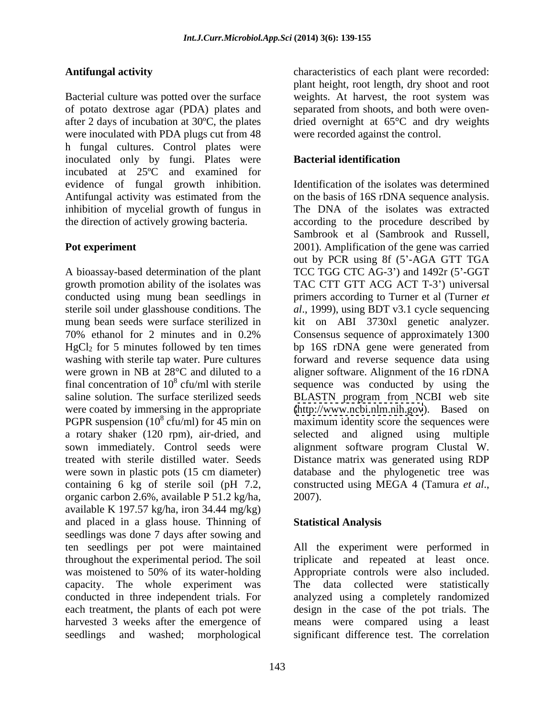Bacterial culture was potted over the surface weights. At harvest, the root system was of potato dextrose agar (PDA) plates and after 2 days of incubation at  $30^{\circ}$ C, the plates after 2 days of incubation at 30ºC, the plates dried overnight at 65°C and dry weights were inoculated with PDA plugs cut from 48 h fungal cultures. Control plates were inoculated only by fungi. Plates were **Bacterial identification** incubated at 25ºC and examined for evidence of fungal growth inhibition. inhibition of mycelial growth of fungus in

growth promotion ability of the isolates was conducted using mung bean seedlings in PGPR suspension  $(10^8 \text{ cfu/ml})$  for 45 min on<br>a rotary shaker  $(120 \text{ rpm})$ , air-dried, and containing 6 kg of sterile soil (pH 7.2, constructed using MEGA 4 (Tamura et al., organic carbon 2.6%, available P 51.2 kg/ha, available K 197.57 kg/ha, iron 34.44 mg/kg) and placed in a glass house. Thinning of seedlings was done 7 days after sowing and ten seedlings per pot were maintained All the experiment were performed in throughout the experimental period. The soil is triplicate and repeated at least once. was moistened to 50% of its water-holding <br>Appropriate controls were also included. capacity. The whole experiment was The data collected were statistically conducted in three independent trials. For analyzed using a completely randomized each treatment, the plants of each pot were harvested 3 weeks after the emergence of means were compared using a least

**Antifungal activity** characteristics of each plant were recorded: plant height, root length, dry shoot and root weights. At harvest, the root system was separated from shoots, and both were oven were recorded against the control.

### **Bacterial identification**

Antifungal activity was estimated from the on the basis of 16S rDNA sequence analysis. the direction of actively growing bacteria. according to the procedure described by **Pot experiment** 2001). Amplification of the gene was carried A bioassay-based determination of the plant TCC TGG CTC AG-3') and 1492r (5'-GGT sterile soil under glasshouse conditions. The *al*., 1999), using BDT v3.1 cycle sequencing mung bean seeds were surface sterilized in kit on ABI 3730xl genetic analyzer. 70% ethanol for 2 minutes and in 0.2%  $HgCl<sub>2</sub>$  for 5 minutes followed by ten times bp 16S rDNA gene were generated from washing with sterile tap water. Pure cultures forward and reverse sequence data using were grown in NB at 28°C and diluted to a aligner software. Alignment of the 16 rDNA final concentration of  $10^8$  cfu/ml with sterile sequence was conducted by using the saline solution. The surface sterilized seeds BLASTN program from NCBI web site were coated by immersing in the appropriate [\(http://www.ncbi.nlm.nih.gov](http://www.ncbi.nlm.nih.gov)). Based on cfu/ml) for 45 min on maximum identity score the sequences were a rotary shaker (120 rpm), air-dried, and selected and aligned using multiple sown immediately. Control seeds were alignment software program Clustal W. treated with sterile distilled water. Seeds Distance matrix was generated using RDP were sown in plastic pots (15 cm diameter) database and the phylogenetic tree was Identification of the isolates was determined The DNA of the isolates was extracted Sambrook et al (Sambrook and Russell, out by PCR using 8f (5'-AGA GTT TGA TAC CTT GTT ACG ACT T-3') universal primers according to Turner et al (Turner *et*  Consensus sequence of approximately 1300 constructed using MEGA <sup>4</sup> (Tamura *et al*., 2007).

### **Statistical Analysis**

seedlings and washed; morphological significant difference test. The correlationAppropriate controls were also included. design in the case of the pot trials. The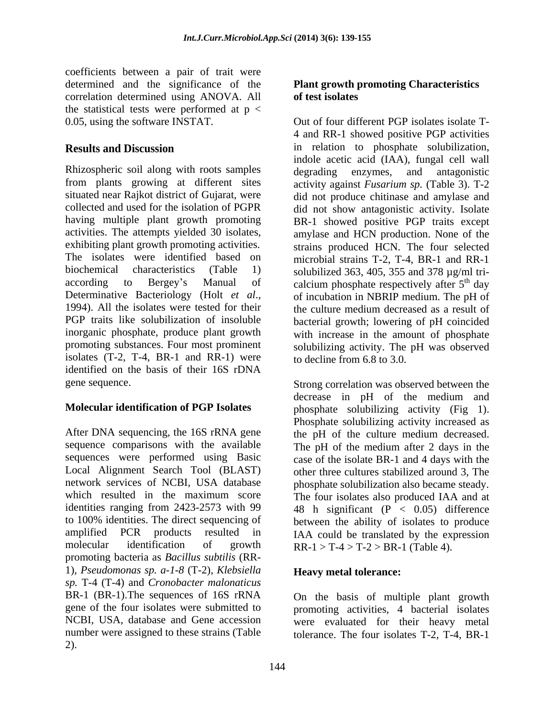coefficients between a pair of trait were determined and the significance of the **Plant growth promoting Characteristics**  correlation determined using ANOVA. All the statistical tests were performed at  $p <$ 

Rhizospheric soil along with roots samples degrading enzymes, and antagonistic from plants growing at different sites isolates (T-2, T-4, BR-1 and RR-1) were identified on the basis of their 16S rDNA

After DNA sequencing, the 16S rRNA gene the pH of the culture medium decreased. sequence comparisons with the available The pH of the medium after 2 days in the sequences were performed using Basic case of the isolate BR-1 and 4 days with the Local Alignment Search Tool (BLAST) other three cultures stabilized around 3, The network services of NCBI, USA database phosphate solubilization also became steady. which resulted in the maximum score The four isolates also produced IAA and at identities ranging from 2423-2573 with 99  $\qquad 48$  h significant (P  $\lt$  0.05) difference to 100% identities. The direct sequencing of between the ability of isolates to produce amplified PCR products resulted in IAA could be translated by the expression molecular identification of growth  $RR-1 > T-4 > T-2 > BR-1$  (Table 4). promoting bacteria as *Bacillus subtilis* (RR- 1), *Pseudomonas sp. a-1-8* (T-2), *Klebsiella sp.* T-4 (T-4) and *Cronobacter malonaticus* BR-1 (BR-1).The sequences of 16S rRNA gene of the four isolates were submitted to promoting activities, 4 bacterial isolates NCBI, USA, database and Gene accession were evaluated for their heavy metal number were assigned to these strains (Table tolerance. The four isolates T-2, T-4, BR-1 2).

# **of test isolates**

0.05, using the software INSTAT. Out of four different PGP isolates isolate T-**Results and Discussion** in relation to phosphate solubilization, situated near Rajkot district of Gujarat, were did not produce chitinase and amylase and collected and used for the isolation of PGPR did not show antagonistic activity. Isolate having multiple plant growth promoting BR-1 showed positive PGP traits except activities. The attempts yielded 30 isolates, amylase and HCN production. None of the exhibiting plant growth promoting activities. strains produced HCN. The four selected The isolates were identified based on microbial strains T-2, T-4, BR-1 and RR-1 biochemical characteristics (Table 1) solubilized 363, 405, 355 and 378 µg/ml tri according to Bergey's Manual of calcium phosphate respectively after  $5<sup>th</sup>$  day Determinative Bacteriology (Holt *et al.*, of incubation in NBRIP medium. The pH of 1994). All the isolates were tested for their the culture medium decreased as a result of PGP traits like solubilization of insoluble bacterial growth; lowering of pH coincided inorganic phosphate, produce plant growth with increase in the amount of phosphate promoting substances. Four most prominent solubilizing activity. The pH was observed 4 and RR-1 showed positive PGP activities indole acetic acid (IAA), fungal cell wall degrading enzymes, and antagonistic activity against *Fusarium sp.* (Table 3). T-2 <sup>th</sup> day of incubation in NBRIP medium. The pH of the culture medium decreased as a result of to decline from 6.8 to 3.0.

gene sequence. Strong correlation was observed between the **Molecular identification of PGP Isolates** phosphate solubilizing activity (Fig 1). decrease in pH of the medium and Phosphate solubilizing activity increased as

### **Heavy metal tolerance:**

On the basis of multiple plant growth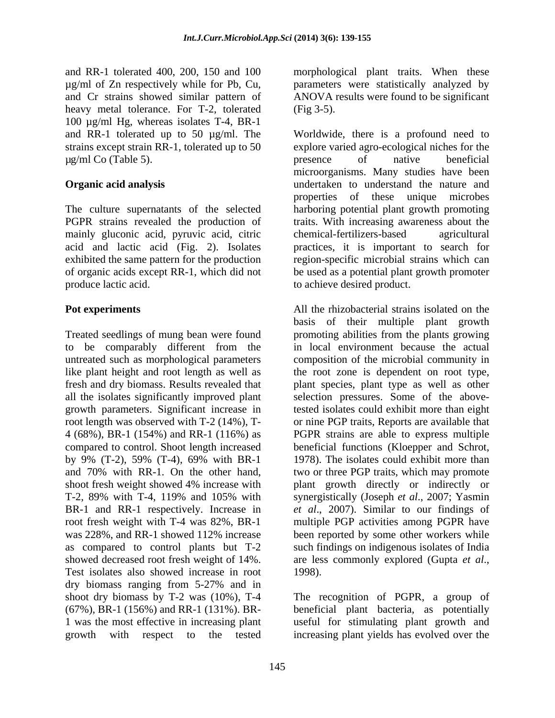and RR-1 tolerated 400, 200, 150 and 100 morphological plant traits. When these µg/ml of Zn respectively while for Pb, Cu, and Cr strains showed similar pattern of ANOVA results were found to be significant heavy metal tolerance. For T-2, tolerated (Fig 3-5). 100 µg/ml Hg, whereas isolates T-4, BR-1  $\mu$ g/ml Co (Table 5).  $\mu$  presence of native beneficial

PGPR strains revealed the production of mainly gluconic acid, pyruvic acid, citric chemical-fertilizers-based agricultural acid and lactic acid (Fig. 2). Isolates exhibited the same pattern for the production produce lactic acid. to achieve desired product.

and 70% with RR-1. On the other hand, showed decreased root fresh weight of 14%. are less commonly explored (Gupta *et al.*, Test isolates also showed increase in root dry biomass ranging from 5-27% and in shoot dry biomass by T-2 was (10%), T-4 The recognition of PGPR, a group of  $(67\%)$ , BR-1  $(156\%)$  and RR-1  $(131\%)$ . BR- beneficial plant bacteria, as potentially 1 was the most effective in increasing plant useful for stimulating plant growth and growth with respect to the tested increasing plant yields has evolved over the

parameters were statistically analyzed by (Fig 3-5).

and RR-1 tolerated up to 50 µg/ml. The Worldwide, there is a profound need to strains except strain RR-1, tolerated up to 50 explore varied agro-ecological niches for the **Organic acid analysis various** undertaken to understand the nature and The culture supernatants of the selected harboring potential plant growth promoting of organic acids except RR-1, which did not be used as apotential plant growth promoter presence of native beneficial microorganisms. Many studies have been properties of these unique microbes traits. With increasing awareness about the chemical-fertilizers-based agricultural practices, it is important to search for region-specific microbial strains which can

**Pot experiments** All the rhizobacterial strains isolated on the Treated seedlings of mung bean were found promoting abilities from the plants growing to be comparably different from the untreated such as morphological parameters composition of the microbial community in like plant height and root length as well as the root zone is dependent on root type, fresh and dry biomass. Results revealed that plant species, plant type as well as other all the isolates significantly improved plant selection pressures. Some of the abovegrowth parameters. Significant increase in tested isolates could exhibit more than eight root length was observed with T-2 (14%), T- or nine PGP traits, Reports are available that 4 (68%), BR-1 (154%) and RR-1 (116%) as PGPR strains are able to express multiple compared to control. Shoot length increased beneficial functions (Kloepper and Schrot, by 9% (T-2), 59% (T-4), 69% with BR-1 1978). The isolates could exhibit more than shoot fresh weight showed 4% increase with plant growth directly or indirectly or T-2, 89% with T-4, 119% and 105% with synergistically (Joseph *et al*., 2007; Yasmin BR-1 and RR-1 respectively. Increase in *et al*., 2007). Similar to our findings of root fresh weight with T-4 was 82%, BR-1 multiple PGP activities among PGPR have was 228%, and RR-1 showed 112% increase been reported by some other workers while as compared to control plants but T-2 such findings on indigenous isolates of India basis of their multiple plant growth in local environment because the actual 1978). The isolates could exhibit more than two or three PGP traits, which may promote are less commonly explored (Gupta *et al*., 1998).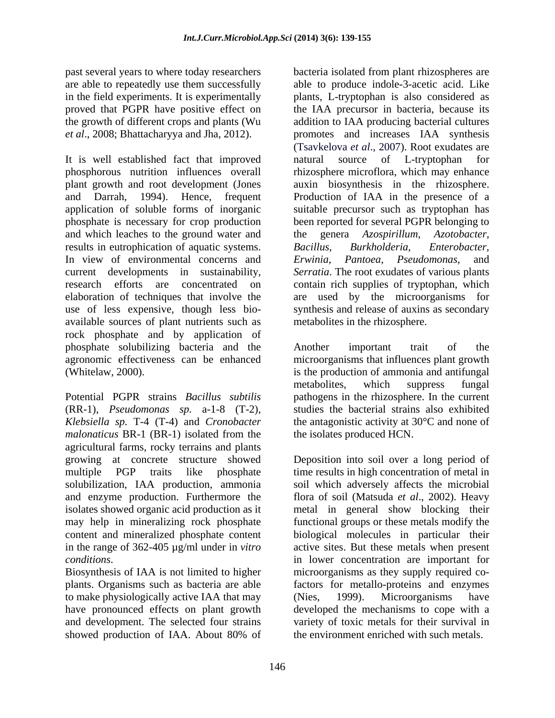past several years to where today researchers bacteria isolated from plant rhizospheres are in the field experiments. It is experimentally

It is well established fact that improved natural source of L-tryptophan for phosphorous nutrition influences overall rhizosphere microflora, which may enhance plant growth and root development (Jones auxin biosynthesis in the rhizosphere. and Darrah, 1994). Hence, frequent Production of IAA in the presence of a application of soluble forms of inorganic suitable precursor such as tryptophan has phosphate is necessary for crop production and which leaches to the ground water and the genera Azospirillum, Azotobacter, results in eutrophication of aquatic systems. Bacillus, Burkholderia, Enterobacter, In view of environmental concerns and Erwinia, Pantoea, Pseudomonas, and current developments in sustainability, *Serratia*. The root exudates of various plants research efforts are concentrated on contain rich supplies of tryptophan, which elaboration of techniques that involve the are used by the microorganisms for use of less expensive, though less bio- synthesis and release of auxins as secondary available sources of plant nutrients such as rock phosphate and by application of phosphate solubilizing bacteria and the agronomic effectiveness can be enhanced microorganisms that influences plant growth (Whitelaw, 2000). is the production of ammonia and antifungal

Potential PGPR strains *Bacillus subtilis* pathogens in the rhizosphere. In the current (RR-1), *Pseudomonas sp.* a-1-8 (T-2), studies the bacterial strains also exhibited *Klebsiella sp.* T-4 (T-4) and *Cronobacter malonaticus* BR-1 (BR-1) isolated from the agricultural farms, rocky terrains and plants growing at concrete structure showed Deposition into soil over a long period of multiple PGP traits like phosphate time results in high concentration of metal in solubilization, IAA production, ammonia and enzyme production. Furthermore the flora of soil (Matsuda *et al*., 2002). Heavy isolates showed organic acid production as it metal in general show blocking their may help in mineralizing rock phosphate functional groups or these metals modify the content and mineralized phosphate content biological molecules in particular their in the range of 362-405 µg/ml under in *vitro*  active sites. But these metals when present *conditions*. in lower concentration are important for

Biosynthesis of IAA is not limited to higher to make physiologically active IAA that may (Nies, 1999). Microorganisms have and development. The selected four strains showed production of IAA. About 80% of the environment enriched with such metals.

are able to repeatedly use them successfully able to produce indole-3-acetic acid. Like proved that PGPR have positive effect on the IAA precursor in bacteria, because its the growth of different crops and plants (Wu addition to IAA producing bacterial cultures *et al*., 2008; Bhattacharyya and Jha, 2012). promotes and increases IAA synthesis plants, L-tryptophan is also considered as (Tsavkelova *et al*., 2007). Root exudates are natural source of L-tryptophan for been reported for several PGPR belonging to the genera *Azospirillum, Azotobacter, Bacillus, Burkholderia, Enterobacter, Erwinia, Pantoea, Pseudomonas*, and metabolites in the rhizosphere.

> Another important trait of the metabolites, which suppress fungal the antagonistic activity at 30°C and none of the isolates produced HCN.

plants. Organisms such as bacteria are able factors for metallo-proteins and enzymes have pronounced effects on plant growth developed the mechanisms to cope with a soil which adversely affects the microbial microorganisms as they supply required co-(Nies, 1999). Microorganisms have variety of toxic metals for their survival in the environment enriched with such metals.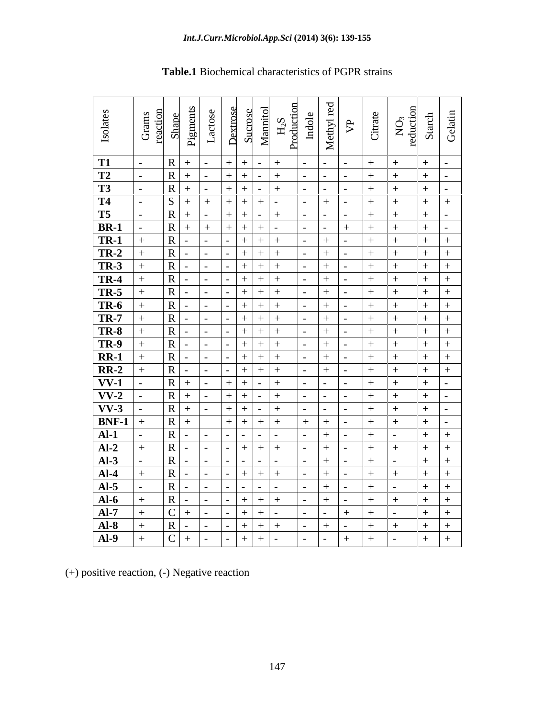| Isolates                 | Grams<br>reaction<br>Shape |                         | Pigments<br>Lactos                         | Dextrose                      | Mannitol<br>Sucrose | $H2S$<br>Production | Methyl red<br>Indole     | $\mathcal{P}$            | Citrate | $\rm NO_3$ reduction | Gelatin<br>Starch                  |
|--------------------------|----------------------------|-------------------------|--------------------------------------------|-------------------------------|---------------------|---------------------|--------------------------|--------------------------|---------|----------------------|------------------------------------|
|                          |                            |                         |                                            |                               |                     |                     |                          |                          |         |                      |                                    |
| <b>T1</b>                |                            | $\mathbf R$             | $+$<br>$\sim$                              | $\rightarrow$                 |                     |                     | $\sim$                   | $\overline{\phantom{0}}$ |         |                      | $+$<br>$\overline{\phantom{0}}$    |
| T2                       |                            | $\overline{R}$          | $+$                                        |                               |                     |                     |                          |                          |         |                      | $^{+}$<br>$\overline{\phantom{0}}$ |
| T3                       |                            | $\overline{\mathbf{R}}$ | $+$                                        | $+$                           |                     |                     |                          |                          |         |                      | $+$<br>$\overline{\phantom{0}}$    |
| T <sub>4</sub>           |                            | S                       | $+$<br>$+$                                 | $\pm$                         |                     |                     | $+$                      |                          | $+$     |                      | $+$<br>$+$                         |
| T5                       |                            | $\overline{\mathbf{R}}$ | $+$                                        |                               |                     |                     |                          |                          |         |                      | $+$<br>$-$                         |
| $BR-1$                   |                            | R                       | $+$<br>$+$                                 | $+$                           | $+$                 |                     |                          | $+$                      |         |                      | $+$<br>$\overline{a}$              |
| $TR-1$                   |                            | $\overline{\mathbf{R}}$ | $\sim$<br>$\blacksquare$                   |                               |                     |                     | $+$                      |                          | $+$     |                      | $+$<br>$+$                         |
| $TR-2$                   |                            | $\overline{R}$          |                                            |                               |                     |                     | $+$                      |                          |         |                      | $+$                                |
| <b>TR-3</b>              |                            | $\overline{R}$          |                                            |                               |                     |                     | $^{+}$                   |                          |         |                      | $+$<br>$^{+}$                      |
|                          |                            | $\overline{R}$          |                                            |                               |                     |                     | $+$                      |                          |         |                      | $+$<br>$+$                         |
| $\frac{TR-4}{TR-5}$      |                            | $\overline{R}$          |                                            |                               |                     |                     | $+$                      |                          |         |                      | $+$<br>$+$                         |
| <b>TR-6</b>              |                            | $\overline{R}$          | $\sim$                                     |                               |                     |                     | $^{+}$                   |                          |         |                      | $+$<br>$^{+}$                      |
| <b>TR-7</b>              |                            | $\overline{R}$          | $\sim$<br>$\overline{\phantom{0}}$         | $\overline{ }$ $\overline{ }$ | $+$                 |                     | $+$                      |                          |         |                      | $+$<br>$+$                         |
| $TR-8$                   |                            | $\overline{R}$          | $\sim$<br>$\overline{\phantom{a}}$         |                               | $^{+}$              |                     | $+$                      |                          |         |                      | $+$<br>$+$                         |
| $TR-9$                   |                            | $\overline{R}$          |                                            |                               |                     |                     | $+$                      |                          |         |                      | $+$<br>$^{+}$                      |
| $RR-1$                   |                            | $\overline{\mathbf{R}}$ |                                            |                               |                     |                     | $+$                      |                          |         |                      | $+$<br>$^{+}$                      |
| $RR-2$                   |                            | R                       |                                            |                               |                     |                     | $+$                      |                          | $+$     |                      | $+$<br>$+$                         |
| $\overline{\text{VV-1}}$ |                            | $\overline{R}$          | $+$                                        |                               |                     |                     |                          |                          | $+$     |                      | $+$<br>$\sim$ .                    |
| $\overline{\text{VV-2}}$ |                            | $\overline{\mathbf{R}}$ | $+$<br>$\overline{\phantom{a}}$            | $+$                           |                     |                     |                          |                          |         |                      | $+$<br>$\overline{\phantom{0}}$    |
| $\overline{\text{VV-3}}$ |                            | R                       | $+$<br>$\overline{a}$                      | $+$                           |                     |                     | $\overline{\phantom{0}}$ |                          |         |                      | $+$<br>$-$                         |
| $BNF-1$                  |                            | $\overline{\mathbf{R}}$ | $+$                                        | $+$                           |                     |                     | $+$                      |                          |         |                      | $+$<br>$\overline{a}$              |
| $AI-1$                   |                            | $\overline{R}$          | $\overline{\phantom{a}}$                   |                               |                     |                     | $+$                      |                          |         |                      | $+$<br>$^{+}$                      |
| $Al-2$                   |                            | $\overline{R}$          |                                            |                               |                     |                     | $^{+}$                   |                          |         |                      | $+$<br>$^{+}$                      |
| $AI-3$                   |                            | R                       |                                            |                               |                     |                     | $+$                      |                          | $+$     |                      | $+$<br>$+$                         |
| $Al-4$                   |                            | $\overline{\mathbf{R}}$ | $\overline{a}$                             |                               |                     |                     | $+$                      |                          | $+$     |                      | $+$<br>$+$                         |
| $AI-5$                   |                            | $\overline{R}$          | $\overline{\phantom{a}}$                   |                               |                     |                     | $+$                      |                          |         |                      | $+$<br>$+$                         |
| $AI-6$                   |                            | $\overline{R}$          | $\overline{a}$<br>$\overline{\phantom{0}}$ | $\overline{a}$                |                     |                     | $+$                      |                          | $+$     |                      | $+$<br>$+$                         |
| $AI-7$                   |                            | $\overline{C}$          | $+$                                        |                               | $+$                 |                     | $\overline{\phantom{0}}$ | $+$                      | $+$     |                      | $+$<br>$+$                         |
| $AI-8$                   |                            | $\overline{\mathbf{R}}$ |                                            |                               |                     |                     | $+$                      |                          |         |                      | $+$<br>$+$                         |
| $AI-9$                   |                            | $\mathbf C$             | $+$                                        |                               |                     |                     |                          | $+$                      | $^{+}$  |                      | $+$<br>$^{+}$                      |
|                          |                            |                         |                                            |                               |                     |                     |                          |                          |         |                      |                                    |

# **Table.1** Biochemical characteristics of PGPR strains

(+) positive reaction, (-) Negative reaction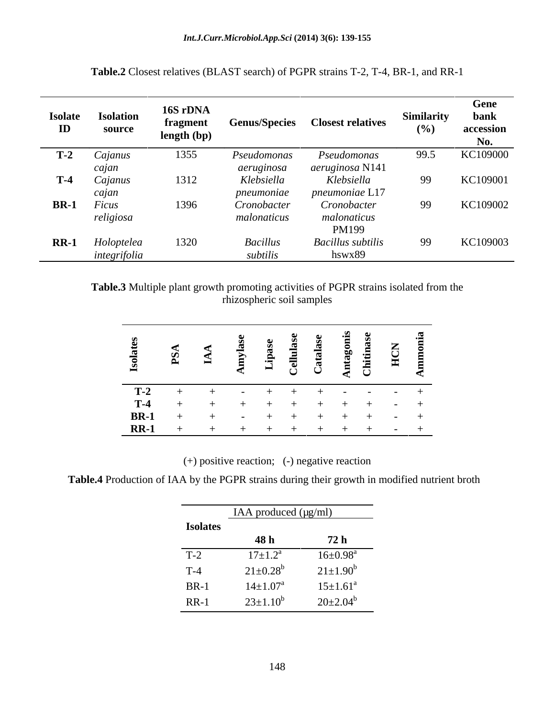| <b>Isolate</b><br>ID | <b>Isolation</b><br>source | 16S rDNA<br>fragment<br>length (bp) | <b>Genus/Species</b>        | <b>Closest relatives</b>           | <b>Similarity</b><br>(%) | Gene<br>bank<br>accession<br>No. |
|----------------------|----------------------------|-------------------------------------|-----------------------------|------------------------------------|--------------------------|----------------------------------|
| $T-2$                | Cajanus                    | 1355                                | Pseudomonas                 | Pseudomonas                        | 99.5                     | KC109000                         |
|                      | cajan                      |                                     | aeruginosa                  | aeruginosa N141                    |                          |                                  |
| $T-4$                | Cajanus                    | 1312                                | Klebsiella                  | Klebsiella                         | 99                       | KC109001                         |
|                      | cajan                      |                                     | pneumoniae                  | pneumoniae L17                     |                          |                                  |
| <b>BR-1</b>          | Ficus                      | 1396                                | Cronobacter                 | Cronobacter                        | 99                       | KC109002                         |
|                      | religiosa                  |                                     | malonaticus                 | malonaticus<br>PM199               |                          |                                  |
| $RR-1$               | Holoptelea<br>integrifolia | 1320                                | <b>Bacillus</b><br>subtilis | <b>Bacillus</b> subtilis<br>hswx89 | 99                       | KC109003                         |

**Table.2** Closest relatives (BLAST search) of PGPR strains T-2, T-4, BR-1, and RR-1

**Table.3** Multiple plant growth promoting activities of PGPR strains isolated from the rhizospheric soil samples

(+) positive reaction; (-) negative reaction

**Table.4** Production of IAA by the PGPR strains during their growth in modified nutrient broth

|                 | IAA produced $(\mu g/ml)$  |                          |
|-----------------|----------------------------|--------------------------|
| <b>Isolates</b> |                            |                          |
|                 | 48 h                       | 72 h                     |
| $T-2$           | $17 \pm 1.2^{\circ}$       | $16 \pm 0.98^{\text{a}}$ |
| $T-4$           | $21 \pm 0.28^b$            | $21 \pm 1.90^b$          |
| $BR-1$          | $14{\pm}1.07^{\mathrm{a}}$ | $15 \pm 1.61^a$          |
| $RR-1$          | $23 \pm 1.10^b$            | $20\pm2.04^b$            |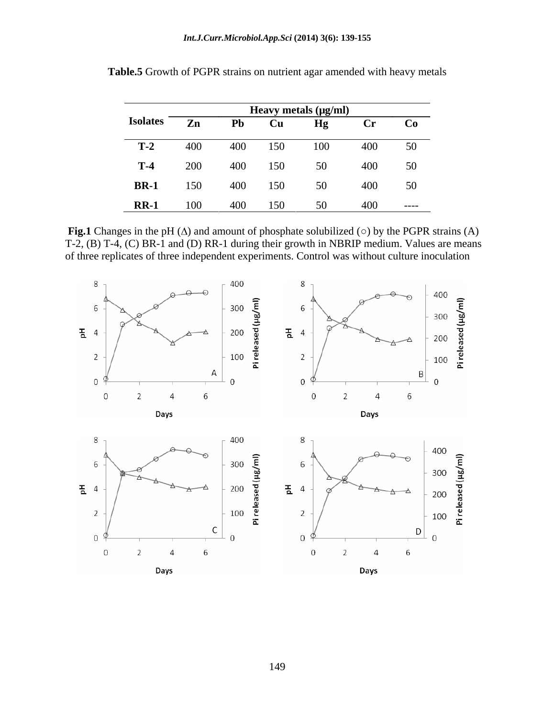|                 | Heavy metals (µg/ml) |                |     |     |                |       |  |
|-----------------|----------------------|----------------|-----|-----|----------------|-------|--|
| <b>Isolates</b> | $\mathbf{Zn}$        | P <sub>b</sub> | Cu  | Hg  | $\mathbf{C}$ r | Co    |  |
| $T-2$           | 400                  | 400            | 150 | 100 | 400            | 50    |  |
| $T-4$           | 200                  | 400            | 150 | 50  | 400            | 50    |  |
| <b>BR-1</b>     | 150                  | 400            | 150 | 50  | 400            | 50    |  |
| $RR-1$          | 100                  | 400            | 150 | 50  | 400            | ----- |  |

**Table.5** Growth of PGPR strains on nutrient agar amended with heavy metals

**Fig.1** Changes in the pH  $(\Delta)$  and amount of phosphate solubilized  $(\circ)$  by the PGPR strains  $(A)$ T-2, (B) T-4, (C) BR-1 and (D) RR-1 during their growth in NBRIP medium. Values are means of three replicates of three independent experiments. Control was without culture inoculation

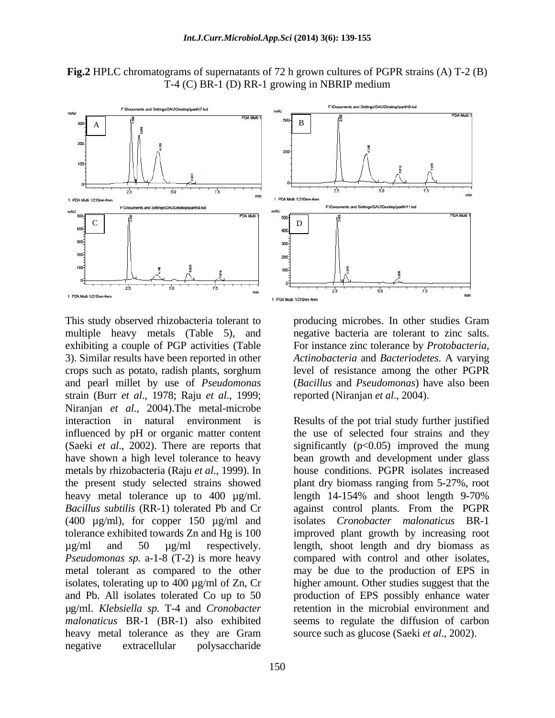



This study observed rhizobacteria tolerant to producing microbes. In other studies Gram multiple heavy metals (Table 5), and negative bacteria are tolerant to zinc salts. exhibiting a couple of PGP activities (Table For instance zinc tolerance by *Protobacteria,*  3). Similar results have been reported in other *Actinobacteria* and *Bacteriodetes*. A varying crops such as potato, radish plants, sorghum level of resistance among the other PGPR and pearl millet by use of *Pseudomonas* (*Bacillus* and *Pseudomonas*) have also been strain (Burr *et al*., 1978; Raju *et al*., 1999; Niranjan *et al*., 2004).The metal-microbe (400 µg/ml), for copper 150 µg/ml and isolates, tolerating up to 400 µg/ml of Zn, Cr µg/ml. *Klebsiella sp.* T-4 and *Cronobacter malonaticus* BR-1 (BR-1) also exhibited heavy metal tolerance as they are Gram negative extracellular polysaccharide

reported (Niranjan *et al*., 2004).

interaction in natural environment is Results of the pot trial study further justified influenced by pH or organic matter content the use of selected four strains and they (Saeki *et al.*, 2002). There are reports that significantly  $(p<0.05)$  improved the mung have shown a high level tolerance to heavy bean growth and development under glass metals by rhizobacteria (Raju *et al*., 1999). In house conditions. PGPR isolates increased the present study selected strains showed plant dry biomass ranging from 5-27%, root heavy metal tolerance up to 400 µg/ml. length 14-154% and shoot length 9-70% *Bacillus subtilis* (RR-1) tolerated Pb and Cr against control plants. From the PGPR tolerance exhibited towards Zn and Hg is 100 improved plant growth by increasing root  $\mu$ g/ml and 50  $\mu$ g/ml respectively. length, shoot length and dry biomass as *Pseudomonas sp.* a-1-8 (T-2) is more heavy compared with control and other isolates, metal tolerant as compared to the other may be due to the production of EPS in and Pb. All isolates tolerated Co up to 50 production of EPS possibly enhance water isolates *Cronobacter malonaticus* BR-1 higher amount. Other studies suggest that the retention in the microbial environment and seems to regulate the diffusion of carbon source such as glucose (Saeki *et al*., 2002).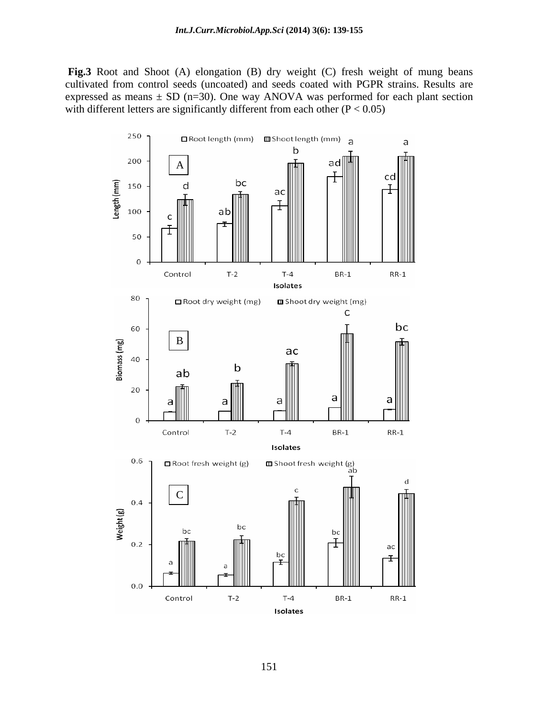**Fig.3** Root and Shoot (A) elongation (B) dry weight (C) fresh weight of mung beans cultivated from control seeds (uncoated) and seeds coated with PGPR strains. Results are expressed as means  $\pm$  SD (n=30). One way ANOVA was performed for each plant section with different letters are significantly different from each other  $(P < 0.05)$ 

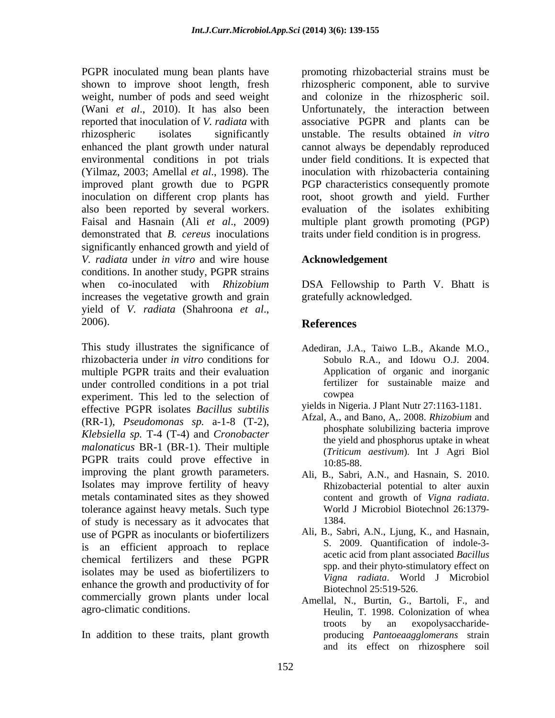PGPR inoculated mung bean plants have promoting rhizobacterial strains must be shown to improve shoot length, fresh rhizospheric component, able to survive weight, number of pods and seed weight and colonize in the rhizospheric soil. (Wani *et al*., 2010). It has also been Unfortunately, the interaction between reported that inoculation of *V. radiata* with associative PGPR and plants can be rhizospheric isolates significantly unstable. The results obtained *in vitro* enhanced the plant growth under natural cannot always be dependably reproduced environmental conditions in pot trials under field conditions. It is expected that (Yilmaz, 2003; Amellal *et al*., 1998). The inoculation with rhizobacteria containing improved plant growth due to PGPR PGP characteristics consequently promote inoculation on different crop plants has root, shoot growth and yield. Further also been reported by several workers. evaluation of the isolates exhibiting Faisal and Hasnain (Ali *et al*., 2009) multiple plant growth promoting (PGP) demonstrated that *B. cereus* inoculations traits under field condition is in progress. significantly enhanced growth and yield of *V. radiata* under *in vitro* and wire house conditions. In another study, PGPR strains when co-inoculated with *Rhizobium* DSA Fellowship to Parth V. Bhatt is increases the vegetative growth and grain yield of *V. radiata* (Shahroona *et al*., 2006).

This study illustrates the significance of Adediran, J.A., Taiwo L.B., Akande M.O., rhizobacteria under *in vitro* conditions for multiple PGPR traits and their evaluation under controlled conditions in a pot trial fertilizer<br>experiment. This led to the selection of cowpea experiment. This led to the selection of effective PGPR isolates *Bacillus subtilis* (RR-1), *Pseudomonas sp.* a-1-8 (T-2), *Klebsiella sp.* T-4 (T-4) and *Cronobacter malonaticus* BR-1 (BR-1). Their multiple PGPR traits could prove effective in  $10:85-88$ . improving the plant growth parameters. Isolates may improve fertility of heavy metals contaminated sites as they showed content and growth of Vigna radiata. tolerance against heavy metals. Such type World J Microbiol Biotechnol 26:1379-<br>of study is necessary as it advocates that 1384. of study is necessary as it advocates that use of PGPR as inoculants or biofertilizers is an efficient approach to replace chemical fertilizers and these PGPR isolates may be used as biofertilizers to enhance the growth and productivity of for commercially grown plants under local

In addition to these traits, plant growth

## **Acknowledgement**

gratefully acknowledged.

# **References**

- Sobulo R.A., and Idowu O.J. 2004. Application of organic and inorganic fertilizer for sustainable maize and cowpea and the complete state of the contract of the contract of the contract of the contract of the contract of the contract of the contract of the contract of the contract of the contract of the contract of the contract
- yields in Nigeria. J Plant Nutr 27:1163-1181.
- Afzal, A., and Bano, A,. 2008. *Rhizobium* and phosphate solubilizing bacteria improve the yield and phosphorus uptake in wheat (*Triticum aestivum*). Int J Agri Biol 10:85-88.
- Ali, B., Sabri, A.N., and Hasnain, S. 2010. Rhizobacterial potential to alter auxin content and growth of *Vigna radiata*. World <sup>J</sup> Microbiol Biotechnol 26:1379- 1384.
- Ali, B., Sabri, A.N., Ljung, K., and Hasnain, S. 2009. Quantification of indole-3 acetic acid from plant associated *Bacillus* spp. and their phyto-stimulatory effect on *Vigna radiata*. World J Microbiol Biotechnol 25:519-526.
- agro-climatic conditions. Heulin, T. 1998. Colonization of whea Amellal, N., Burtin, G., Bartoli, F., and troots by an exopolysaccharide producing *Pantoeaagglomerans* strain and its effect on rhizosphere soil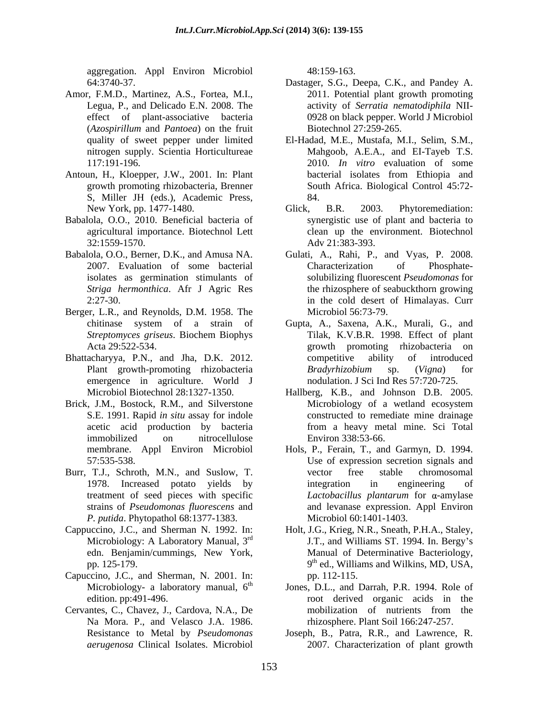aggregation. Appl Environ Microbiol 48:159-163.

- Amor, F.M.D., Martinez, A.S., Fortea, M.I., effect of plant-associative bacteria (*Azospirillum* and *Pantoea*) on the fruit
- S, Miller JH (eds.), Academic Press,
- Babalola, O.O., 2010. Beneficial bacteria of synergistic use of plant and bacteria to
- Babalola, O.O., Berner, D.K., and Amusa NA. Gulati, A., Rahi, P., and Vyas, P. 2008.
- Berger, L.R., and Reynolds, D.M. 1958. The
- Bhattacharyya, P.N., and Jha, D.K. 2012. emergence in agriculture. World J
- 
- Burr, T.J., Schroth, M.N., and Suslow, T. *P. putida*. Phytopathol 68:1377-1383.
- 
- Capuccino, J.C., and Sherman, N. 2001. In:
- Cervantes, C., Chavez, J., Cardova, N.A., De Na Mora. P., and Velasco J.A. 1986.

48:159-163.

- 64:3740-37. Dastager, S.G., Deepa, C.K., and Pandey A. Legua, P., and Delicado E.N. 2008. The activity of *Serratia nematodiphila* NII- 2011. Potential plant growth promoting 0928 on black pepper. World J Microbiol Biotechnol 27:259-265.
- quality of sweet pepper under limited El-Hadad, M.E., Mustafa, M.I., Selim, S.M., nitrogen supply. Scientia Horticultureae Mahgoob, A.E.A., and EI-Tayeb T.S. 117:191-196. 2010. *In vitro* evaluation of some Antoun, H., Kloepper, J.W., 2001. In: Plant growth promoting rhizobacteria, Brenner South Africa. Biological Control 45:72 bacterial isolates from Ethiopia and 84.
	- New York, pp. 1477-1480. Glick, B.R. 2003. Phytoremediation: agricultural importance.Biotechnol Lett clean up the environment. Biotechnol 32:1559-1570. Adv 21:383-393. Glick, B.R. 2003. Phytoremediation:
	- 2007. Evaluation of some bacterial isolates as germination stimulants of solubilizing fluorescent *Pseudomonas* for *Striga hermonthica*. Afr J Agric Res the rhizosphere of seabuckthorn growing 2:27-30. in the cold desert of Himalayas. Curr Characterization of Phosphate- Microbiol 56:73-79.
	- chitinase system of a strain of Gupta, A., Saxena, A.K., Murali, G., and *Streptomyces griseus*. Biochem Biophys Acta 29:522-534. growth promoting rhizobacteria on Plant growth-promoting rhizobacteria Bradyrhizobium sp. (Vigna) for Tilak, K.V.B.R. 1998. Effect of plant competitive ability of introduced *Bradyrhizobium* sp. (*Vigna*) for nodulation. J Sci Ind Res 57:720-725.
- Microbiol Biotechnol 28:1327-1350. Hallberg, K.B., and Johnson D.B. 2005. Brick, J.M., Bostock, R.M., and Silverstone Microbiology of a wetland ecosystem S.E. 1991. Rapid *in situ* assay for indole constructed to remediate mine drainage acetic acid production by bacteria from a heavy metal mine. Sci Total immobilized on nitrocellulose Environ 338:53-66. Microbiology of a wetland ecosystem Environ 338:53-66.
	- membrane. Appl Environ Microbiol Hols, P., Ferain, T., and Garmyn, D. 1994. 57:535-538. Use of expression secretion signals and 1978. Increased potato yields by treatment of seed pieces with specific  $Lactobacillus$  plantarum for  $\alpha$ -amylase strains of *Pseudomonas fluorescens* and and levanase expression. Appl Environ vector free stable chromosomal integration in engineering of *Lactobacillus plantarum* for α-amylase Microbiol 60:1401-1403.
- Cappuccino, J.C., and Sherman N. 1992. In: Holt, J.G., Krieg, N.R., Sneath, P.H.A., Staley, Microbiology: A Laboratory Manual,  $3<sup>rd</sup>$  J.T., and Williams ST. 1994. In. Bergy's edn. Benjamin/cummings, New York, pp. 125-179.  $9<sup>th</sup>$  ed., Williams and Wilkins, MD, USA, Manual of Determinative Bacteriology, pp. 112-115.
	- Microbiology- a laboratory manual, 6<sup>th</sup> Jones, D.L., and Darrah, P.R. 1994. Role of edition. pp:491-496. root derived organic acids in the mobilization of nutrients from the rhizosphere. Plant Soil 166:247-257.
	- Resistance to Metal by *Pseudomonas*  Joseph, B., Patra, R.R., and Lawrence, R. *aerugenosa* Clinical Isolates. Microbiol 2007. Characterization of plant growth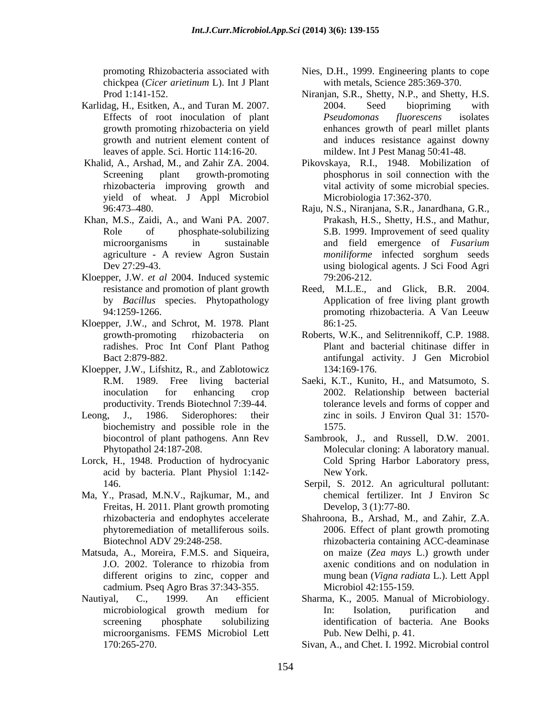chickpea (*Cicer arietinum* L). Int J Plant

- Karlidag, H., Esitken, A., and Turan M. 2007. 2004. Seed biopriming with
- yield of wheat. J Appl Microbiol
- Khan, M.S., Zaidi, A., and Wani PA. 2007.
- Kloepper, J.W. *et al* 2004. Induced systemic
- Kloepper, J.W., and Schrot, M. 1978. Plant radishes. Proc Int Conf Plant Pathog
- Kloepper, J.W., Lifshitz, R., and Zablotowicz 134:169-176.
- Leong, J., 1986. Siderophores: their zinc in soils. J Environ Qual 31: 1570 biochemistry and possible role in the 1575.
- Lorck, H., 1948. Production of hydrocyanic acid by bacteria. Plant Physiol 1:142-
- Ma, Y., Prasad, M.N.V., Rajkumar, M., and Freitas, H. 2011. Plant growth promoting
- Matsuda, A., Moreira, F.M.S. and Siqueira, different origins to zinc, copper and cadmium. Pseq Agro Bras 37:343-355.
- microorganisms. FEMS Microbiol Lett
- promoting Rhizobacteria associated with Nies, D.H., 1999. Engineering plants to cope with metals, Science 285:369-370.
- Prod 1:141-152. Niranjan, S.R., Shetty, N.P., and Shetty, H.S. Effects of root inoculation of plant Pseudomonas fluorescens isolates growth promoting rhizobacteria on yield enhances growth of pearl millet plants growth and nutrient element content of and induces resistance against downy leaves of apple. Sci. Hortic 114:16-20. mildew. Int J Pest Manag 50:41-48. 2004. Seed biopriming with *Pseudomonas fluorescens* isolates
- Khalid, A., Arshad, M., and Zahir ZA. 2004. Pikovskaya, R.I.,1948. Mobilization of Screening plant growth-promoting phosphorus in soil connection with the rhizobacteria improving growth and vital activity of some microbial species. Microbiologia 17:362-370.
	- 96:473 480. Raju, N.S., Niranjana, S.R., Janardhana, G.R., Role of phosphate-solubilizing S.B. 1999. Improvement of seed quality microorganisms in sustainable and field emergence of *Fusarium*  agriculture - A review Agron Sustain *moniliforme* infected sorghum seeds Dev 27:29-43. using biological agents. J Sci Food Agri Prakash, H.S., Shetty, H.S., and Mathur, *moniliforme* infected sorghum seeds 79:206-212.
	- resistance and promotion of plant growth Reed, M.L.E., and Glick, B.R. 2004. by *Bacillus* species. Phytopathology Application of free living plant growth 94:1259-1266. **In the set of the set of the set of the set of the set of the set of the set of the set of the set of the set of the set of the set of the set of the set of the set of the set of the set of the set of the se** promoting rhizobacteria. A Van Leeuw 86:1-25.
	- growth-promoting rhizobacteria on Roberts, W.K., and Selitrennikoff, C.P. 1988. Bact 2:879-882. antifungal activity. J Gen Microbiol Plant and bacterial chitinase differ in 134:169-176.
	- R.M. 1989. Free living bacterial Saeki, K.T., Kunito, H., and Matsumoto, S. inoculation for enhancing crop 2002. Relationship between bacterial productivity. Trends Biotechnol 7:39-44. tolerance levels and forms of copper and 1575.
	- biocontrol of plant pathogens. Ann Rev Sambrook, J., and Russell, D.W. 2001. Phytopathol 24:187-208. Molecular cloning: A laboratory manual. Cold Spring Harbor Laboratory press, New York.
	- 146. Serpil, S. 2012. An agricultural pollutant: chemical fertilizer. Int J Environ Sc Develop, 3 (1):77-80.
	- rhizobacteria and endophytes accelerate Shahroona, B., Arshad, M., and Zahir, Z.A. phytoremediation of metalliferous soils. 2006. Effect of plant growth promoting Biotechnol ADV 29:248-258. rhizobacteria containing ACC-deaminase J.O. 2002. Tolerance to rhizobia from on maize (*Zea mays* L.) growth under axenic conditions and on nodulation in mung bean (*Vigna radiata* L.). Lett Appl Microbiol 42:155-159.
- Nautiyal, C., 1999. An efficient Sharma, K., 2005. Manual of Microbiology. microbiological growth medium for screening phosphate solubilizing identification of bacteria. Ane Books In: Isolation, purification and Pub. New Delhi, p. 41.
	- 170:265-270. Sivan, A., and Chet. I. 1992. Microbial control